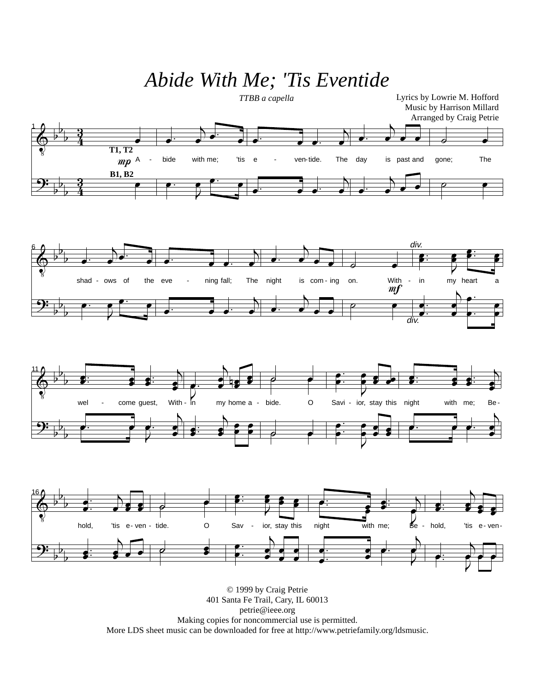## *Abide With Me; 'Tis Eventide*



401 Santa Fe Trail, Cary, IL 60013 petrie@ieee.org Making copies for noncommercial use is permitted. More LDS sheet music can be downloaded for free at http://www.petriefamily.org/ldsmusic.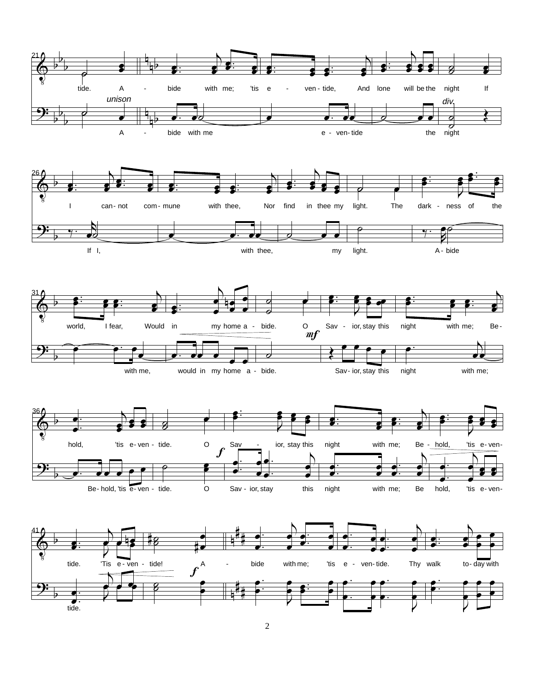